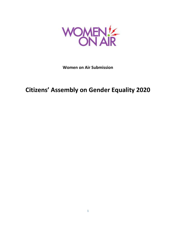

**Women on Air Submission**

# **Citizens' Assembly on Gender Equality 2020**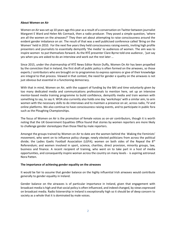#### **About Women on Air**

Women on Air was set up 10 years ago this year as a result of a conversation on Twitter between journalist Margaret E Ward and Helen Mc Cormack, then a radio producer. They posed a simple question, 'where are all the women on the airwaves?' They then set about attempting to raise consciousness around the evident gender imbalance on air. The result of that was a well publicised conference called 'Bring on the Women' held in 2010. For the next five years they held consciousness raising events, inviting high profile presenters and journalists to essentially demystify 'the media' to audiences of women. The aim was to inspire women to put themselves forward. As the RTÉ presenter Clare Byrne told one audience , 'just say yes when you are asked to do an interview and work out the rest later …

Since 2015, under the chairmanship of RTÉ News Editor Roisin Duffy, Women On Air has been propelled by the conviction that in Ireland, the first draft of public policy is often formed on the airwaves, so those experts / contributors who are brought on to programmes to express opinions or give of their knowledge are integral to that process. Viewed in that context, the need for gender e quality on the airwaves is not just obvious but essential in a functioning democracy.

With that in mind, Women on Air, with the support of funding by the BAI and time voluntarily given by too many dedicated media and communications professionals to mention here, set up an intensive mentor-based media training programme to build confidence, demystify media and train women with something to say, to say it. WOA also currently also holds one day 'workshops' with a similar aim, to arm women with the necessary skills to do interviews and to maintain a presence on air, across radio, TV and online platforms. We also continue to have consciousness raising events, and to participate in public fora such as the Ploughing Championships.

The focus of Women on Air is the promotion of female voices as on-air contributors, though it is worth noting that the UK Government Equalities Office found that stories by women reporters are more likely to challenge gender stereotypes than those filed by male reporters.

Amongst the groups trained by Women on Air to date are the women behind the Waking the Feminists' movement, who went on to influence policy change; newly elected politicians from across the political divide; the Ladies Gaelic Football Association (LGFA); women on both sides of the Repeal the 8<sup>th</sup> Referendum; and women involved in sport, science, charities, direct provision, minority groups, law, business and finance. A recent recipient of training, who went on to take part in a host of media opportunities, and consequently inspire woman across the country on many levels - is aspiring astronaut Nora Patten.

## **The importance of achieving gender equality on the airwaves**

It would be fair to assume that gender balance on the highly influential Irish airwaves would contribute generally to gender equality in Ireland.

Gender balance on the airwaves is of particular importance in Ireland, given that engagement with broadcast media is high and that social policy is often influenced, and indeed changed, by views expressed on broadcast media. Radio listenership in Ireland is exceptionally high so it should be of deep concern to society as a whole that it is dominated by male voices.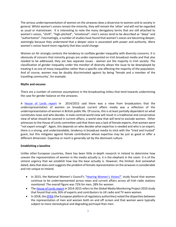The serious underrepresentation of women on the airwaves does a disservice to women and to society in general. Whilst women's voices remain the minority, they will remain the 'other' and will not be regarded as usual or mainstream. It is interesting to note the many derogatory terms that are still attached to women's voices, "shrill", "high-pitched", "emotional"; men's voices tend to be described as "deep" and "authoritative". Fascinatingly, a number of studies have found that women's voices are becoming deeper, seemingly because they understand that a deeper voice is associated with power and authority. Were women's voices heard more regularly that bias could change.

Women on Air strongly contests the tendency to conflate gender inequality with diversity concerns. It is obviously of concern that minority groups are under-represented on Irish broadcast media and that also needed to be addressed, they are two separate issues - women are the majority in Irish society. The classification of gender inequality under the moniker of diversity allows the issue to be downplayed by treating it as one of many inequalities rather than a specific one affecting the majority of the population. And of course, women may be doubly discriminated against by being 'female and a member of the travelling community', for example.

## **Myths and excuses**

There are a number of common assumptions in the broadcasting milieu that tend towards undermining the case for gender balance on the airwaves.

A [House of Lords report](https://publications.parliament.uk/pa/ld201415/ldselect/ldcomuni/91/91.pdf) in 2014/2015 said there was a view from broadcasters that the underrepresentation of women on broadcast current affairs media was a reflection of the underrepresentation of women in British public life. Of course, this is at least partially dependent on what constitutes news and who decides. A male centred world view will result in a traditional and conservative view of what should be covered in current affairs; a world view that will tend to exclude women. Other witnesses to the House of Lords committee said that there was a lack of female experts, that women were "not expert enough". Again, this depends on who decides what expertise is needed and who is an expert; there is a strong, and understandable, tendency in broadcast media to stick with the "tried and trusted" guest, but this mitigates against female contributors whose expertise may be just as good or offer a different dimension. Expertise or merit is generally set by the dominant culture.

## **Establishing a baseline**

Unlike other European countries, there has been little in-depth research in Ireland to determine how uneven the representation of women in the media actually is, it is the elephant in the room. It is of the utmost urgency that we establish how low the base actually is. However, the limited. And somewhat dated, data that does exist suggests the problem of female representation on the airwaves is considerable and not unique to Ireland.

- In 2015, the National Women's Council's ["Hearing Women's Voices?"](https://www.nwci.ie/images/uploads/Hearing_Womens_Voices_2015_final.pdf) study found that women continue to be underrepresented across news and current affairs across all Irish radio stations monitored. The overall figure was 72% for men, 28% for women.
- The [House of Lords report](https://publications.parliament.uk/pa/ld201415/ldselect/ldcomuni/91/91.pdf) in 2014-2015 refers to the Global Media Monitoring Project 2010 study that found that only 26% of experts and contributors to UK radio and TV were women.
- In 2018, th[e EPRA](https://ec.europa.eu/digital-single-market/en/news/women-are-under-represented-and-screen-says-epra-report) (the European platform of regulatory authorities) noted the disparities between the representation of men and women both on and off screen and that women were typically subject to more stereotypical and degrading portrayal than men.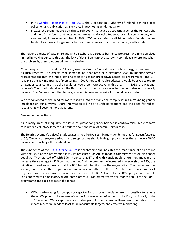- In its [Gender Action Plan of April 2018,](https://www.bai.ie/en/media/sites/2/dlm_uploads/2018/04/20180423_BAI_GenderActionPlan_vFinal_AR.pdf) the Broadcasting Authority of Ireland identified data collection and publication as a key area in promoting gender equality.
- In 2013, the Economic and Social Research Council surveyed 10 countries such as the US, Australia and the UK and found that news coverage was heavily weighted towards male news sources, with women only interviewed or cited in 30% of TV news stories. In all 10 countries, female sources tended to appear in longer news items and softer news topics such as family and lifestyle.

The relative paucity of data in Ireland and elsewhere is a serious barrier to progress. We find ourselves limited in making our case through the lack of data. If we cannot assert with confidence where and when the problem is, then solutions will remain elusive.

Monitoring is key to this and the "Hearing Women's Voices?" report makes detailed suggestions based on its Irish research. It suggests that someone be appointed at programme level to monitor female representation; that the radio stations monitor gender breakdown across all programmes. The BAI recognise the key importance of monitoring. In 2017, they said that broadcasters would be asked to report on gender balance and that the regulator would be more active in this area. In 2018, the National Women's Council of Ireland asked the BAI to monitor the Irish airwaves for gender balance on a yearly balance. The BAI are committed to progress on this issue so pursuit of it should prove useful.

We are convinced of the need for more research into the many and complex issues surrounding gender imbalance on our airwaves. More information will help to shift perceptions and the need for radical rebalancing will become more apparent.

#### **Recommended actions**

As in many areas of inequality, the issue of quotas for gender balance is controversial. Most reports recommend voluntary targets but hesitate about the issue of compulsory quotas.

The Hearing Women's Voices? study suggests that the BAI set minimum gender quotas for guests/experts of 30/70 over a three-year period; it also suggests they should highlight programmes that achieve a 40/60 balance and challenge those who do not.

The experience of the [BBC's Outside Source](https://www.bbc.com/aboutthebbc/reports/policies/5050) is enlightening and indicates the importance of also dealing with the issue at the programme level. Its presenter Ros Atkins made a commitment to on air gender equality. They started off with 39% in January 2017 and with considerable effort they managed to increase their average to 52% by that summer. And the programme increased its viewership by 25%; the initiative proved so successful that the BBC has adopted it across the organisation. The movement has spread, and many other organisations are now committed to this 50:50 plan and many broadcast organisations in other European countries have taken the BBC's lead with its 50/50 programme, an optin as opposed to an obligatory quota-based process. Programme teams voluntarily sign up to the 50/50 programme and aspire to reach the target.

• WOA is advocating for **compulsory quota**s for broadcast media where it is possible to require them. We point to the success of quotas for the election of women to the Dáil, particularly in the 2016 election. We accept there are challenges but do not consider them insurmountable. In the meantime, there needs at least to be measurable targets, and effective monitoring.